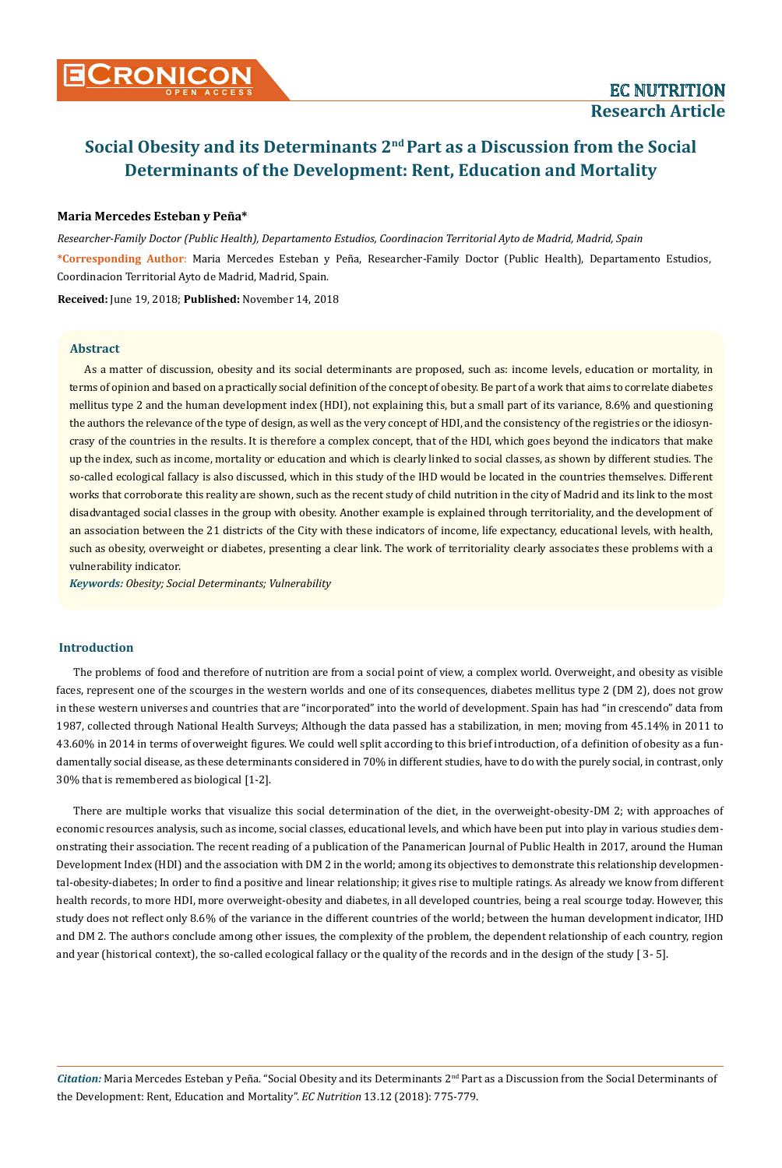## **Maria Mercedes Esteban y Peña\***

*Researcher-Family Doctor (Public Health), Departamento Estudios, Coordinacion Territorial Ayto de Madrid, Madrid, Spain*  **\*Corresponding Author**: Maria Mercedes Esteban y Peña, Researcher-Family Doctor (Public Health), Departamento Estudios, Coordinacion Territorial Ayto de Madrid, Madrid, Spain.

**Received:** June 19, 2018; **Published:** November 14, 2018

#### **Abstract**

As a matter of discussion, obesity and its social determinants are proposed, such as: income levels, education or mortality, in terms of opinion and based on a practically social definition of the concept of obesity. Be part of a work that aims to correlate diabetes mellitus type 2 and the human development index (HDI), not explaining this, but a small part of its variance, 8.6% and questioning the authors the relevance of the type of design, as well as the very concept of HDI, and the consistency of the registries or the idiosyncrasy of the countries in the results. It is therefore a complex concept, that of the HDI, which goes beyond the indicators that make up the index, such as income, mortality or education and which is clearly linked to social classes, as shown by different studies. The so-called ecological fallacy is also discussed, which in this study of the IHD would be located in the countries themselves. Different works that corroborate this reality are shown, such as the recent study of child nutrition in the city of Madrid and its link to the most disadvantaged social classes in the group with obesity. Another example is explained through territoriality, and the development of an association between the 21 districts of the City with these indicators of income, life expectancy, educational levels, with health, such as obesity, overweight or diabetes, presenting a clear link. The work of territoriality clearly associates these problems with a vulnerability indicator.

*Keywords: Obesity; Social Determinants; Vulnerability* 

# **Introduction**

The problems of food and therefore of nutrition are from a social point of view, a complex world. Overweight, and obesity as visible faces, represent one of the scourges in the western worlds and one of its consequences, diabetes mellitus type 2 (DM 2), does not grow in these western universes and countries that are "incorporated" into the world of development. Spain has had "in crescendo" data from 1987, collected through National Health Surveys; Although the data passed has a stabilization, in men; moving from 45.14% in 2011 to 43.60% in 2014 in terms of overweight figures. We could well split according to this brief introduction, of a definition of obesity as a fundamentally social disease, as these determinants considered in 70% in different studies, have to do with the purely social, in contrast, only 30% that is remembered as biological [1-2].

There are multiple works that visualize this social determination of the diet, in the overweight-obesity-DM 2; with approaches of economic resources analysis, such as income, social classes, educational levels, and which have been put into play in various studies demonstrating their association. The recent reading of a publication of the Panamerican Journal of Public Health in 2017, around the Human Development Index (HDI) and the association with DM 2 in the world; among its objectives to demonstrate this relationship developmental-obesity-diabetes; In order to find a positive and linear relationship; it gives rise to multiple ratings. As already we know from different health records, to more HDI, more overweight-obesity and diabetes, in all developed countries, being a real scourge today. However, this study does not reflect only 8.6% of the variance in the different countries of the world; between the human development indicator, IHD and DM 2. The authors conclude among other issues, the complexity of the problem, the dependent relationship of each country, region and year (historical context), the so-called ecological fallacy or the quality of the records and in the design of the study [ 3- 5].

Citation: Maria Mercedes Esteban y Peña. "Social Obesity and its Determinants 2<sup>nd</sup> Part as a Discussion from the Social Determinants of the Development: Rent, Education and Mortality". *EC Nutrition* 13.12 (2018): 775-779.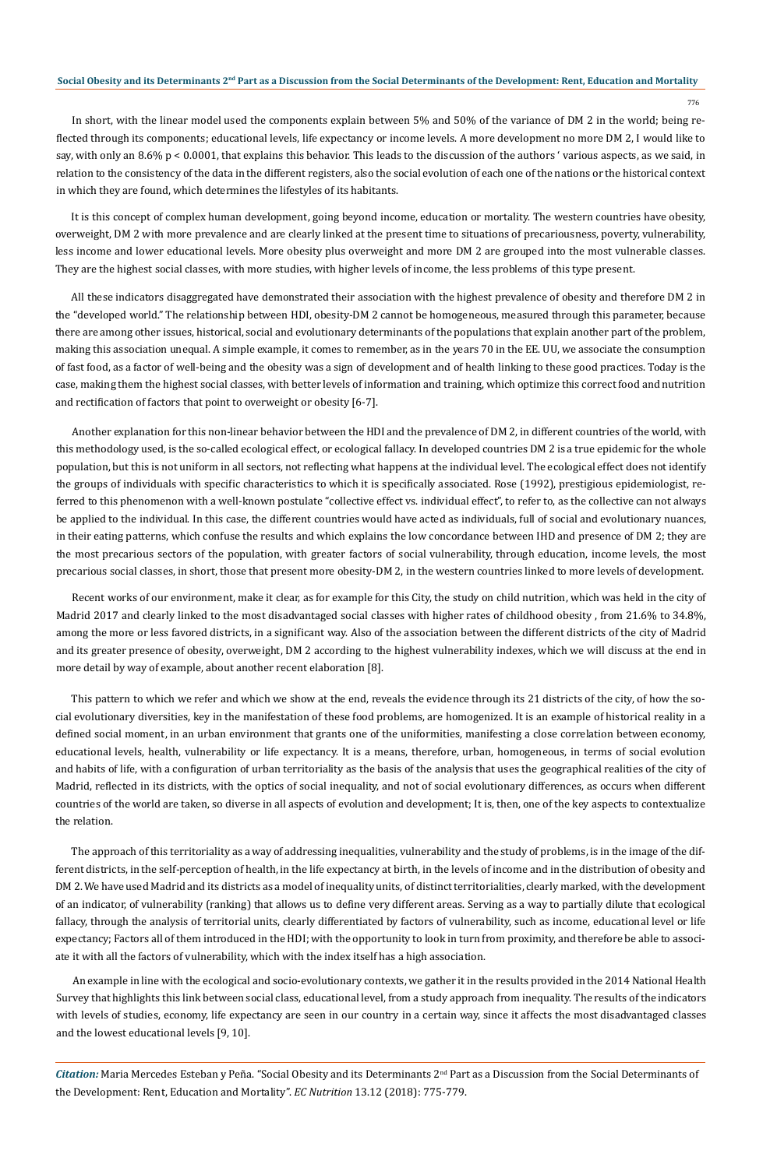776

In short, with the linear model used the components explain between 5% and 50% of the variance of DM 2 in the world; being reflected through its components; educational levels, life expectancy or income levels. A more development no more DM 2, I would like to say, with only an 8.6% p < 0.0001, that explains this behavior. This leads to the discussion of the authors ' various aspects, as we said, in relation to the consistency of the data in the different registers, also the social evolution of each one of the nations or the historical context in which they are found, which determines the lifestyles of its habitants.

It is this concept of complex human development, going beyond income, education or mortality. The western countries have obesity, overweight, DM 2 with more prevalence and are clearly linked at the present time to situations of precariousness, poverty, vulnerability, less income and lower educational levels. More obesity plus overweight and more DM 2 are grouped into the most vulnerable classes. They are the highest social classes, with more studies, with higher levels of income, the less problems of this type present.

All these indicators disaggregated have demonstrated their association with the highest prevalence of obesity and therefore DM 2 in the "developed world." The relationship between HDI, obesity-DM 2 cannot be homogeneous, measured through this parameter, because there are among other issues, historical, social and evolutionary determinants of the populations that explain another part of the problem, making this association unequal. A simple example, it comes to remember, as in the years 70 in the EE. UU, we associate the consumption of fast food, as a factor of well-being and the obesity was a sign of development and of health linking to these good practices. Today is the case, making them the highest social classes, with better levels of information and training, which optimize this correct food and nutrition and rectification of factors that point to overweight or obesity [6-7].

Another explanation for this non-linear behavior between the HDI and the prevalence of DM 2, in different countries of the world, with this methodology used, is the so-called ecological effect, or ecological fallacy. In developed countries DM 2 is a true epidemic for the whole population, but this is not uniform in all sectors, not reflecting what happens at the individual level. The ecological effect does not identify the groups of individuals with specific characteristics to which it is specifically associated. Rose (1992), prestigious epidemiologist, referred to this phenomenon with a well-known postulate "collective effect vs. individual effect", to refer to, as the collective can not always be applied to the individual. In this case, the different countries would have acted as individuals, full of social and evolutionary nuances, in their eating patterns, which confuse the results and which explains the low concordance between IHD and presence of DM 2; they are the most precarious sectors of the population, with greater factors of social vulnerability, through education, income levels, the most precarious social classes, in short, those that present more obesity-DM 2, in the western countries linked to more levels of development.

Recent works of our environment, make it clear, as for example for this City, the study on child nutrition, which was held in the city of Madrid 2017 and clearly linked to the most disadvantaged social classes with higher rates of childhood obesity , from 21.6% to 34.8%, among the more or less favored districts, in a significant way. Also of the association between the different districts of the city of Madrid and its greater presence of obesity, overweight, DM 2 according to the highest vulnerability indexes, which we will discuss at the end in more detail by way of example, about another recent elaboration [8].

This pattern to which we refer and which we show at the end, reveals the evidence through its 21 districts of the city, of how the social evolutionary diversities, key in the manifestation of these food problems, are homogenized. It is an example of historical reality in a defined social moment, in an urban environment that grants one of the uniformities, manifesting a close correlation between economy, educational levels, health, vulnerability or life expectancy. It is a means, therefore, urban, homogeneous, in terms of social evolution and habits of life, with a configuration of urban territoriality as the basis of the analysis that uses the geographical realities of the city of Madrid, reflected in its districts, with the optics of social inequality, and not of social evolutionary differences, as occurs when different countries of the world are taken, so diverse in all aspects of evolution and development; It is, then, one of the key aspects to contextualize the relation.

The approach of this territoriality as a way of addressing inequalities, vulnerability and the study of problems, is in the image of the different districts, in the self-perception of health, in the life expectancy at birth, in the levels of income and in the distribution of obesity and DM 2. We have used Madrid and its districts as a model of inequality units, of distinct territorialities, clearly marked, with the development of an indicator, of vulnerability (ranking) that allows us to define very different areas. Serving as a way to partially dilute that ecological fallacy, through the analysis of territorial units, clearly differentiated by factors of vulnerability, such as income, educational level or life expectancy; Factors all of them introduced in the HDI; with the opportunity to look in turn from proximity, and therefore be able to associate it with all the factors of vulnerability, which with the index itself has a high association.

An example in line with the ecological and socio-evolutionary contexts, we gather it in the results provided in the 2014 National Health Survey that highlights this link between social class, educational level, from a study approach from inequality. The results of the indicators with levels of studies, economy, life expectancy are seen in our country in a certain way, since it affects the most disadvantaged classes and the lowest educational levels [9, 10].

*Citation:* Maria Mercedes Esteban y Peña. "Social Obesity and its Determinants 2<sup>nd</sup> Part as a Discussion from the Social Determinants of the Development: Rent, Education and Mortality". *EC Nutrition* 13.12 (2018): 775-779.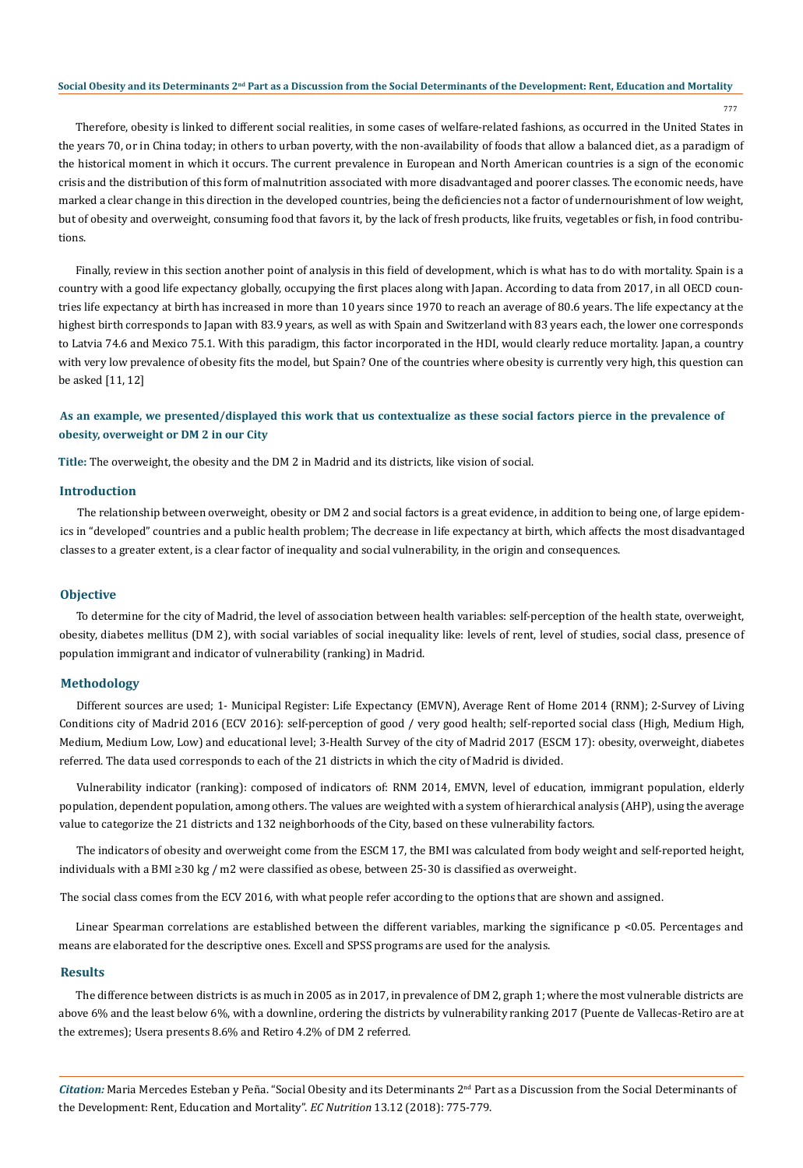777

Therefore, obesity is linked to different social realities, in some cases of welfare-related fashions, as occurred in the United States in the years 70, or in China today; in others to urban poverty, with the non-availability of foods that allow a balanced diet, as a paradigm of the historical moment in which it occurs. The current prevalence in European and North American countries is a sign of the economic crisis and the distribution of this form of malnutrition associated with more disadvantaged and poorer classes. The economic needs, have marked a clear change in this direction in the developed countries, being the deficiencies not a factor of undernourishment of low weight, but of obesity and overweight, consuming food that favors it, by the lack of fresh products, like fruits, vegetables or fish, in food contributions.

Finally, review in this section another point of analysis in this field of development, which is what has to do with mortality. Spain is a country with a good life expectancy globally, occupying the first places along with Japan. According to data from 2017, in all OECD countries life expectancy at birth has increased in more than 10 years since 1970 to reach an average of 80.6 years. The life expectancy at the highest birth corresponds to Japan with 83.9 years, as well as with Spain and Switzerland with 83 years each, the lower one corresponds to Latvia 74.6 and Mexico 75.1. With this paradigm, this factor incorporated in the HDI, would clearly reduce mortality. Japan, a country with very low prevalence of obesity fits the model, but Spain? One of the countries where obesity is currently very high, this question can be asked [11, 12]

# **As an example, we presented/displayed this work that us contextualize as these social factors pierce in the prevalence of obesity, overweight or DM 2 in our City**

**Title:** The overweight, the obesity and the DM 2 in Madrid and its districts, like vision of social.

### **Introduction**

The relationship between overweight, obesity or DM 2 and social factors is a great evidence, in addition to being one, of large epidemics in "developed" countries and a public health problem; The decrease in life expectancy at birth, which affects the most disadvantaged classes to a greater extent, is a clear factor of inequality and social vulnerability, in the origin and consequences.

#### **Objective**

To determine for the city of Madrid, the level of association between health variables: self-perception of the health state, overweight, obesity, diabetes mellitus (DM 2), with social variables of social inequality like: levels of rent, level of studies, social class, presence of population immigrant and indicator of vulnerability (ranking) in Madrid.

### **Methodology**

Different sources are used; 1- Municipal Register: Life Expectancy (EMVN), Average Rent of Home 2014 (RNM); 2-Survey of Living Conditions city of Madrid 2016 (ECV 2016): self-perception of good / very good health; self-reported social class (High, Medium High, Medium, Medium Low, Low) and educational level; 3-Health Survey of the city of Madrid 2017 (ESCM 17): obesity, overweight, diabetes referred. The data used corresponds to each of the 21 districts in which the city of Madrid is divided.

Vulnerability indicator (ranking): composed of indicators of: RNM 2014, EMVN, level of education, immigrant population, elderly population, dependent population, among others. The values are weighted with a system of hierarchical analysis (AHP), using the average value to categorize the 21 districts and 132 neighborhoods of the City, based on these vulnerability factors.

The indicators of obesity and overweight come from the ESCM 17, the BMI was calculated from body weight and self-reported height, individuals with a BMI ≥30 kg / m2 were classified as obese, between 25-30 is classified as overweight.

The social class comes from the ECV 2016, with what people refer according to the options that are shown and assigned.

Linear Spearman correlations are established between the different variables, marking the significance p <0.05. Percentages and means are elaborated for the descriptive ones. Excell and SPSS programs are used for the analysis.

#### **Results**

The difference between districts is as much in 2005 as in 2017, in prevalence of DM 2, graph 1; where the most vulnerable districts are above 6% and the least below 6%, with a downline, ordering the districts by vulnerability ranking 2017 (Puente de Vallecas-Retiro are at the extremes); Usera presents 8.6% and Retiro 4.2% of DM 2 referred.

*Citation:* Maria Mercedes Esteban y Peña. "Social Obesity and its Determinants 2<sup>nd</sup> Part as a Discussion from the Social Determinants of the Development: Rent, Education and Mortality". *EC Nutrition* 13.12 (2018): 775-779.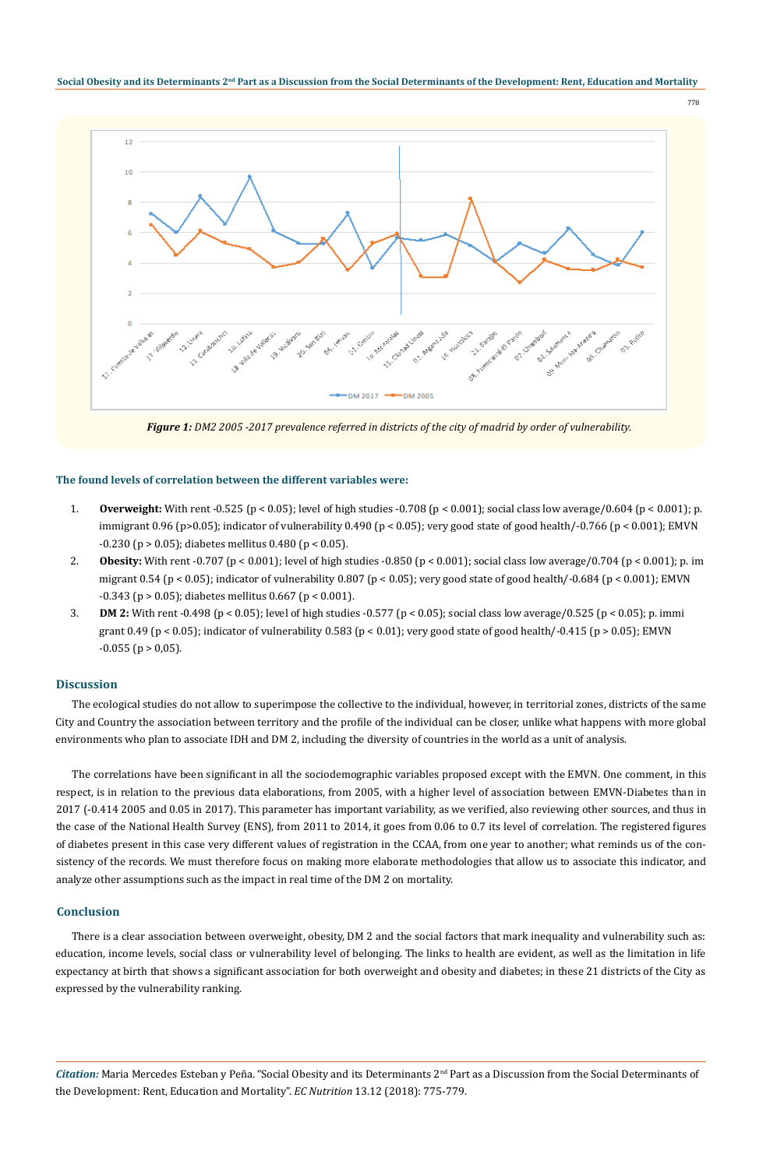

*Figure 1: DM2 2005 -2017 prevalence referred in districts of the city of madrid by order of vulnerability.*

#### **The found levels of correlation between the different variables were:**

- 1. **Overweight:** With rent -0.525 (p < 0.05); level of high studies -0.708 (p < 0.001); social class low average/0.604 (p < 0.001); p. immigrant 0.96 (p>0.05); indicator of vulnerability 0.490 (p < 0.05); very good state of good health/-0.766 (p < 0.001); EMVN  $-0.230$  (p  $> 0.05$ ); diabetes mellitus 0.480 (p < 0.05).
- 2. **Obesity:** With rent -0.707 (p < 0.001); level of high studies -0.850 (p < 0.001); social class low average/0.704 (p < 0.001); p. im migrant 0.54 (p < 0.05); indicator of vulnerability 0.807 (p < 0.05); very good state of good health/-0.684 (p < 0.001); EMVN  $-0.343$  (p  $> 0.05$ ); diabetes mellitus 0.667 (p < 0.001).
- 3. **DM 2:** With rent -0.498 (p < 0.05); level of high studies -0.577 (p < 0.05); social class low average/0.525 (p < 0.05); p. immi grant 0.49 (p < 0.05); indicator of vulnerability 0.583 (p < 0.01); very good state of good health/-0.415 (p > 0.05); EMVN  $-0.055$  (p  $> 0.05$ ).

### **Discussion**

The ecological studies do not allow to superimpose the collective to the individual, however, in territorial zones, districts of the same City and Country the association between territory and the profile of the individual can be closer, unlike what happens with more global environments who plan to associate IDH and DM 2, including the diversity of countries in the world as a unit of analysis.

The correlations have been significant in all the sociodemographic variables proposed except with the EMVN. One comment, in this respect, is in relation to the previous data elaborations, from 2005, with a higher level of association between EMVN-Diabetes than in 2017 (-0.414 2005 and 0.05 in 2017). This parameter has important variability, as we verified, also reviewing other sources, and thus in the case of the National Health Survey (ENS), from 2011 to 2014, it goes from 0.06 to 0.7 its level of correlation. The registered figures of diabetes present in this case very different values of registration in the CCAA, from one year to another; what reminds us of the consistency of the records. We must therefore focus on making more elaborate methodologies that allow us to associate this indicator, and analyze other assumptions such as the impact in real time of the DM 2 on mortality.

# **Conclusion**

There is a clear association between overweight, obesity, DM 2 and the social factors that mark inequality and vulnerability such as: education, income levels, social class or vulnerability level of belonging. The links to health are evident, as well as the limitation in life expectancy at birth that shows a significant association for both overweight and obesity and diabetes; in these 21 districts of the City as expressed by the vulnerability ranking.

*Citation:* Maria Mercedes Esteban y Peña. "Social Obesity and its Determinants 2<sup>nd</sup> Part as a Discussion from the Social Determinants of the Development: Rent, Education and Mortality". *EC Nutrition* 13.12 (2018): 775-779.

778